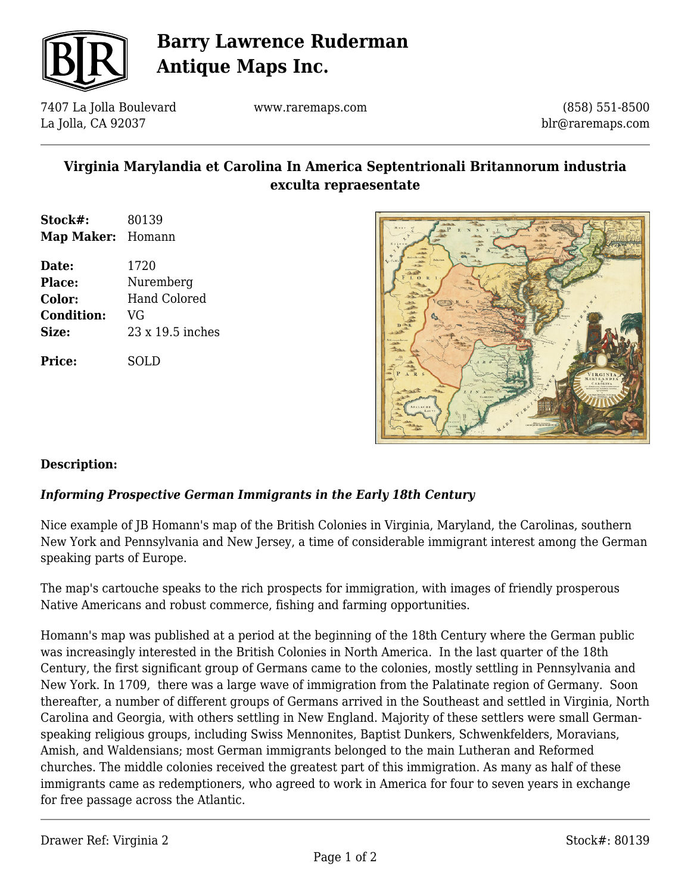

# **Barry Lawrence Ruderman Antique Maps Inc.**

7407 La Jolla Boulevard La Jolla, CA 92037

www.raremaps.com

(858) 551-8500 blr@raremaps.com

## **Virginia Marylandia et Carolina In America Septentrionali Britannorum industria exculta repraesentate**

- **Stock#:** 80139 **Map Maker:** Homann
- **Date:** 1720 **Place:** Nuremberg **Color:** Hand Colored **Condition:** VG **Size:** 23 x 19.5 inches

**Price:** SOLD



### **Description:**

### *Informing Prospective German Immigrants in the Early 18th Century*

Nice example of JB Homann's map of the British Colonies in Virginia, Maryland, the Carolinas, southern New York and Pennsylvania and New Jersey, a time of considerable immigrant interest among the German speaking parts of Europe.

The map's cartouche speaks to the rich prospects for immigration, with images of friendly prosperous Native Americans and robust commerce, fishing and farming opportunities.

Homann's map was published at a period at the beginning of the 18th Century where the German public was increasingly interested in the British Colonies in North America. In the last quarter of the 18th Century, the first significant group of Germans came to the colonies, mostly settling in Pennsylvania and New York. In 1709, there was a large wave of immigration from the Palatinate region of Germany. Soon thereafter, a number of different groups of Germans arrived in the Southeast and settled in Virginia, North Carolina and Georgia, with others settling in New England. Majority of these settlers were small Germanspeaking religious groups, including Swiss Mennonites, Baptist Dunkers, Schwenkfelders, Moravians, Amish, and Waldensians; most German immigrants belonged to the main Lutheran and Reformed churches. The middle colonies received the greatest part of this immigration. As many as half of these immigrants came as redemptioners, who agreed to work in America for four to seven years in exchange for free passage across the Atlantic.